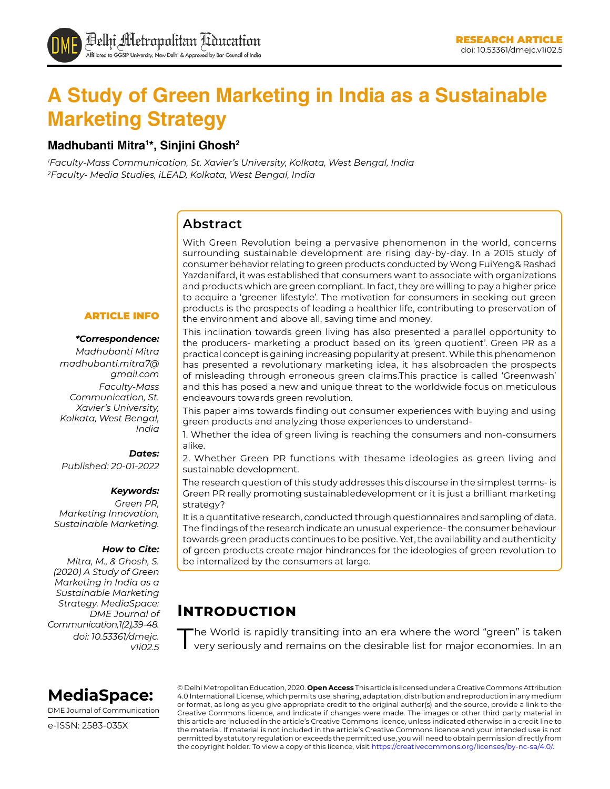# **A Study of Green Marketing in India as a Sustainable Marketing Strategy**

### **Madhubanti Mitra1 \*, Sinjini Ghosh2**

*1 Faculty-Mass Communication, St. Xavier's University, Kolkata, West Bengal, India 2 Faculty- Media Studies, iLEAD, Kolkata, West Bengal, India*

### **Abstract**

With Green Revolution being a pervasive phenomenon in the world, concerns surrounding sustainable development are rising day-by-day. In a 2015 study of consumer behavior relating to green products conducted by Wong FuiYeng& Rashad Yazdanifard, it was established that consumers want to associate with organizations and products which are green compliant. In fact, they are willing to pay a higher price to acquire a 'greener lifestyle'. The motivation for consumers in seeking out green products is the prospects of leading a healthier life, contributing to preservation of the environment and above all, saving time and money.

### ARTICLE INFO

#### *\*Correspondence:*

*Madhubanti Mitra madhubanti.mitra7@ gmail.com Faculty-Mass Communication, St. Xavier's University, Kolkata, West Bengal, India*

#### *Dates:*

*Published: 20-01-2022*

#### *Keywords:*

*Green PR, Marketing Innovation, Sustainable Marketing.* 

#### *How to Cite:*

*Mitra, M., & Ghosh, S. (2020) A Study of Green Marketing in India as a Sustainable Marketing Strategy. MediaSpace: DME Journal of Communication, 1(2), 39-48. doi: 10.53361/dmejc. v1i02.5*

This inclination towards green living has also presented a parallel opportunity to the producers- marketing a product based on its 'green quotient'. Green PR as a practical concept is gaining increasing popularity at present. While this phenomenon has presented a revolutionary marketing idea, it has alsobroaden the prospects of misleading through erroneous green claims.This practice is called 'Greenwash' and this has posed a new and unique threat to the worldwide focus on meticulous endeavours towards green revolution.

This paper aims towards finding out consumer experiences with buying and using green products and analyzing those experiences to understand-

1. Whether the idea of green living is reaching the consumers and non-consumers alike.

2. Whether Green PR functions with thesame ideologies as green living and sustainable development.

The research question of this study addresses this discourse in the simplest terms- is Green PR really promoting sustainabledevelopment or it is just a brilliant marketing strategy?

It is a quantitative research, conducted through questionnaires and sampling of data. The findings of the research indicate an unusual experience- the consumer behaviour towards green products continues to be positive. Yet, the availability and authenticity of green products create major hindrances for the ideologies of green revolution to be internalized by the consumers at large.

# **Introduction**

The World is rapidly transiting into an era where the word "green" is taken very seriously and remains on the desirable list for major economies. In an



DME Journal of Communication

e-ISSN: 2583-035X

© Delhi Metropolitan Education, 2020. **Open Access** This article is licensed under a Creative Commons Attribution 4.0 International License, which permits use, sharing, adaptation, distribution and reproduction in any medium or format, as long as you give appropriate credit to the original author(s) and the source, provide a link to the Creative Commons licence, and indicate if changes were made. The images or other third party material in this article are included in the article's Creative Commons licence, unless indicated otherwise in a credit line to the material. If material is not included in the article's Creative Commons licence and your intended use is not permitted by statutory regulation or exceeds the permitted use, you will need to obtain permission directly from the copyright holder. To view a copy of this licence, visit https://creativecommons.org/licenses/by-nc-sa/4.0/.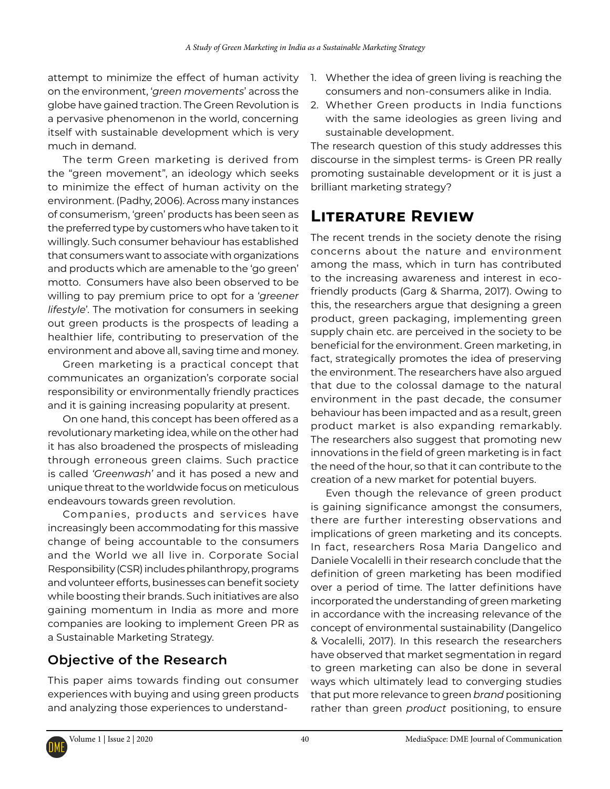attempt to minimize the effect of human activity on the environment, '*green movements*' across the globe have gained traction. The Green Revolution is a pervasive phenomenon in the world, concerning itself with sustainable development which is very much in demand.

The term Green marketing is derived from the "green movement", an ideology which seeks to minimize the effect of human activity on the environment. (Padhy, 2006). Across many instances of consumerism, 'green' products has been seen as the preferred type by customers who have taken to it willingly. Such consumer behaviour has established that consumers want to associate with organizations and products which are amenable to the 'go green' motto. Consumers have also been observed to be willing to pay premium price to opt for a '*greener lifestyle*'. The motivation for consumers in seeking out green products is the prospects of leading a healthier life, contributing to preservation of the environment and above all, saving time and money.

Green marketing is a practical concept that communicates an organization's corporate social responsibility or environmentally friendly practices and it is gaining increasing popularity at present.

On one hand, this concept has been offered as a revolutionary marketing idea, while on the other had it has also broadened the prospects of misleading through erroneous green claims. Such practice is called *'Greenwash'* and it has posed a new and unique threat to the worldwide focus on meticulous endeavours towards green revolution.

Companies, products and services have increasingly been accommodating for this massive change of being accountable to the consumers and the World we all live in. Corporate Social Responsibility (CSR) includes philanthropy, programs and volunteer efforts, businesses can benefit society while boosting their brands. Such initiatives are also gaining momentum in India as more and more companies are looking to implement Green PR as a Sustainable Marketing Strategy.

## **Objective of the Research**

This paper aims towards finding out consumer experiences with buying and using green products and analyzing those experiences to understand-

- 1. Whether the idea of green living is reaching the consumers and non-consumers alike in India.
- 2. Whether Green products in India functions with the same ideologies as green living and sustainable development.

The research question of this study addresses this discourse in the simplest terms- is Green PR really promoting sustainable development or it is just a brilliant marketing strategy?

# **Literature Review**

The recent trends in the society denote the rising concerns about the nature and environment among the mass, which in turn has contributed to the increasing awareness and interest in ecofriendly products (Garg & Sharma, 2017). Owing to this, the researchers argue that designing a green product, green packaging, implementing green supply chain etc. are perceived in the society to be beneficial for the environment. Green marketing, in fact, strategically promotes the idea of preserving the environment. The researchers have also argued that due to the colossal damage to the natural environment in the past decade, the consumer behaviour has been impacted and as a result, green product market is also expanding remarkably. The researchers also suggest that promoting new innovations in the field of green marketing is in fact the need of the hour, so that it can contribute to the creation of a new market for potential buyers.

Even though the relevance of green product is gaining significance amongst the consumers, there are further interesting observations and implications of green marketing and its concepts. In fact, researchers Rosa Maria Dangelico and Daniele Vocalelli in their research conclude that the definition of green marketing has been modified over a period of time. The latter definitions have incorporated the understanding of green marketing in accordance with the increasing relevance of the concept of environmental sustainability (Dangelico & Vocalelli, 2017). In this research the researchers have observed that market segmentation in regard to green marketing can also be done in several ways which ultimately lead to converging studies that put more relevance to green *brand* positioning rather than green *product* positioning, to ensure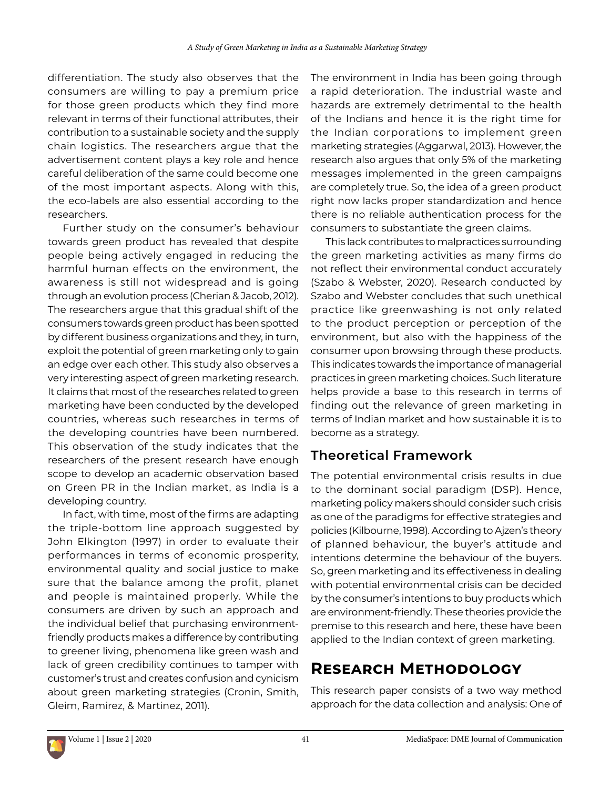differentiation. The study also observes that the consumers are willing to pay a premium price for those green products which they find more relevant in terms of their functional attributes, their contribution to a sustainable society and the supply chain logistics. The researchers argue that the advertisement content plays a key role and hence careful deliberation of the same could become one of the most important aspects. Along with this, the eco-labels are also essential according to the researchers.

Further study on the consumer's behaviour towards green product has revealed that despite people being actively engaged in reducing the harmful human effects on the environment, the awareness is still not widespread and is going through an evolution process (Cherian & Jacob, 2012). The researchers argue that this gradual shift of the consumers towards green product has been spotted by different business organizations and they, in turn, exploit the potential of green marketing only to gain an edge over each other. This study also observes a very interesting aspect of green marketing research. It claims that most of the researches related to green marketing have been conducted by the developed countries, whereas such researches in terms of the developing countries have been numbered. This observation of the study indicates that the researchers of the present research have enough scope to develop an academic observation based on Green PR in the Indian market, as India is a developing country.

In fact, with time, most of the firms are adapting the triple-bottom line approach suggested by John Elkington (1997) in order to evaluate their performances in terms of economic prosperity, environmental quality and social justice to make sure that the balance among the profit, planet and people is maintained properly. While the consumers are driven by such an approach and the individual belief that purchasing environmentfriendly products makes a difference by contributing to greener living, phenomena like green wash and lack of green credibility continues to tamper with customer's trust and creates confusion and cynicism about green marketing strategies (Cronin, Smith, Gleim, Ramirez, & Martinez, 2011).

The environment in India has been going through a rapid deterioration. The industrial waste and hazards are extremely detrimental to the health of the Indians and hence it is the right time for the Indian corporations to implement green marketing strategies (Aggarwal, 2013). However, the research also argues that only 5% of the marketing messages implemented in the green campaigns are completely true. So, the idea of a green product right now lacks proper standardization and hence there is no reliable authentication process for the consumers to substantiate the green claims.

This lack contributes to malpractices surrounding the green marketing activities as many firms do not reflect their environmental conduct accurately (Szabo & Webster, 2020). Research conducted by Szabo and Webster concludes that such unethical practice like greenwashing is not only related to the product perception or perception of the environment, but also with the happiness of the consumer upon browsing through these products. This indicates towards the importance of managerial practices in green marketing choices. Such literature helps provide a base to this research in terms of finding out the relevance of green marketing in terms of Indian market and how sustainable it is to become as a strategy.

## **Theoretical Framework**

The potential environmental crisis results in due to the dominant social paradigm (DSP). Hence, marketing policy makers should consider such crisis as one of the paradigms for effective strategies and policies (Kilbourne, 1998). According to Ajzen's theory of planned behaviour, the buyer's attitude and intentions determine the behaviour of the buyers. So, green marketing and its effectiveness in dealing with potential environmental crisis can be decided by the consumer's intentions to buy products which are environment-friendly. These theories provide the premise to this research and here, these have been applied to the Indian context of green marketing.

# **Research Methodology**

This research paper consists of a two way method approach for the data collection and analysis: One of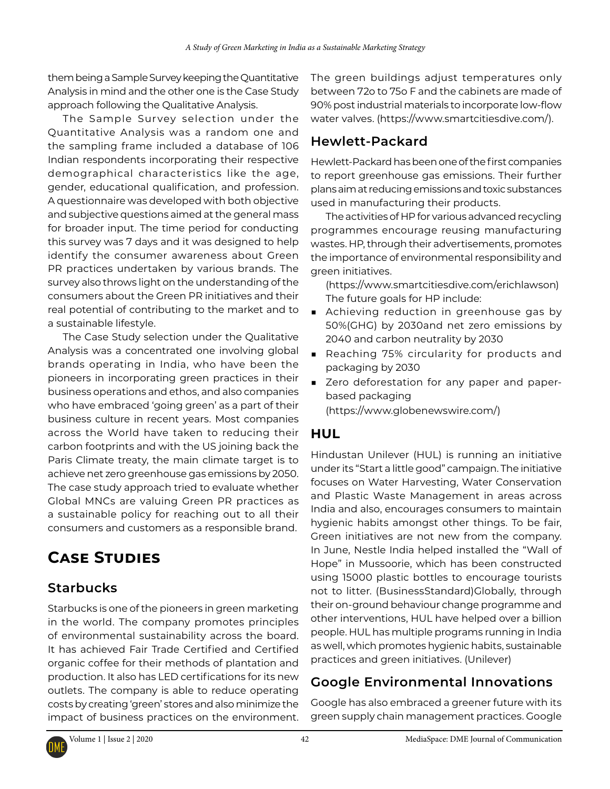them being a Sample Survey keeping the Quantitative Analysis in mind and the other one is the Case Study approach following the Qualitative Analysis.

The Sample Survey selection under the Quantitative Analysis was a random one and the sampling frame included a database of 106 Indian respondents incorporating their respective demographical characteristics like the age, gender, educational qualification, and profession. A questionnaire was developed with both objective and subjective questions aimed at the general mass for broader input. The time period for conducting this survey was 7 days and it was designed to help identify the consumer awareness about Green PR practices undertaken by various brands. The survey also throws light on the understanding of the consumers about the Green PR initiatives and their real potential of contributing to the market and to a sustainable lifestyle.

The Case Study selection under the Qualitative Analysis was a concentrated one involving global brands operating in India, who have been the pioneers in incorporating green practices in their business operations and ethos, and also companies who have embraced 'going green' as a part of their business culture in recent years. Most companies across the World have taken to reducing their carbon footprints and with the US joining back the Paris Climate treaty, the main climate target is to achieve net zero greenhouse gas emissions by 2050. The case study approach tried to evaluate whether Global MNCs are valuing Green PR practices as a sustainable policy for reaching out to all their consumers and customers as a responsible brand.

# **Case Studies**

## **Starbucks**

Starbucks is one of the pioneers in green marketing in the world. The company promotes principles of environmental sustainability across the board. It has achieved Fair Trade Certified and Certified organic coffee for their methods of plantation and production. It also has LED certifications for its new outlets. The company is able to reduce operating costs by creating 'green' stores and also minimize the impact of business practices on the environment.

The green buildings adjust temperatures only between 72o to 75o F and the cabinets are made of 90% post industrial materials to incorporate low-flow water valves. (https://www.smartcitiesdive.com/).

### **Hewlett-Packard**

Hewlett-Packard has been one of the first companies to report greenhouse gas emissions. Their further plans aim at reducing emissions and toxic substances used in manufacturing their products.

The activities of HP for various advanced recycling programmes encourage reusing manufacturing wastes. HP, through their advertisements, promotes the importance of environmental responsibility and green initiatives.

(https://www.smartcitiesdive.com/erichlawson) The future goals for HP include:

- Achieving reduction in greenhouse gas by 50%(GHG) by 2030and net zero emissions by 2040 and carbon neutrality by 2030
- Reaching 75% circularity for products and packaging by 2030
- Zero deforestation for any paper and paperbased packaging (https://www.globenewswire.com/)

### **HUL**

Hindustan Unilever (HUL) is running an initiative under its "Start a little good" campaign. The initiative focuses on Water Harvesting, Water Conservation and Plastic Waste Management in areas across India and also, encourages consumers to maintain hygienic habits amongst other things. To be fair, Green initiatives are not new from the company. In June, Nestle India helped installed the "Wall of Hope" in Mussoorie, which has been constructed using 15000 plastic bottles to encourage tourists not to litter. (BusinessStandard)Globally, through their on-ground behaviour change programme and other interventions, HUL have helped over a billion people. HUL has multiple programs running in India as well, which promotes hygienic habits, sustainable practices and green initiatives. (Unilever)

# **Google Environmental Innovations**

Google has also embraced a greener future with its green supply chain management practices. Google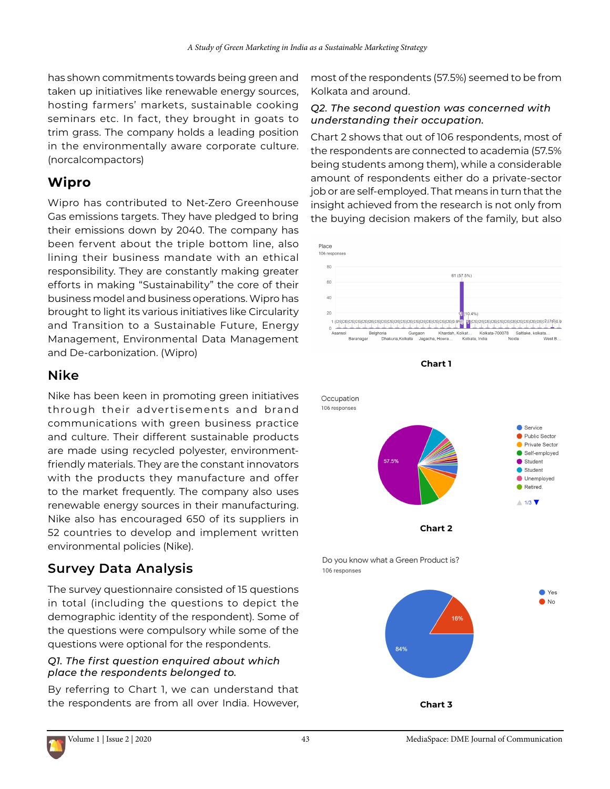has shown commitments towards being green and taken up initiatives like renewable energy sources, hosting farmers' markets, sustainable cooking seminars etc. In fact, they brought in goats to trim grass. The company holds a leading position in the environmentally aware corporate culture. (norcalcompactors)

# **Wipro**

Wipro has contributed to Net-Zero Greenhouse Gas emissions targets. They have pledged to bring their emissions down by 2040. The company has been fervent about the triple bottom line, also lining their business mandate with an ethical responsibility. They are constantly making greater efforts in making "Sustainability" the core of their business model and business operations. Wipro has brought to light its various initiatives like Circularity and Transition to a Sustainable Future, Energy Management, Environmental Data Management and De-carbonization. (Wipro)

## **Nike**

Nike has been keen in promoting green initiatives through their advertisements and brand communications with green business practice and culture. Their different sustainable products are made using recycled polyester, environmentfriendly materials. They are the constant innovators with the products they manufacture and offer to the market frequently. The company also uses renewable energy sources in their manufacturing. Nike also has encouraged 650 of its suppliers in 52 countries to develop and implement written environmental policies (Nike).

# **Survey Data Analysis**

The survey questionnaire consisted of 15 questions in total (including the questions to depict the demographic identity of the respondent). Some of the questions were compulsory while some of the questions were optional for the respondents.

### *Q1. The first question enquired about which place the respondents belonged to.*

By referring to Chart 1, we can understand that the respondents are from all over India. However,

most of the respondents (57.5%) seemed to be from Kolkata and around.

### *Q2. The second question was concerned with understanding their occupation.*

Chart 2 shows that out of 106 respondents, most of the respondents are connected to academia (57.5% being students among them), while a considerable amount of respondents either do a private-sector job or are self-employed. That means in turn that the insight achieved from the research is not only from the buying decision makers of the family, but also







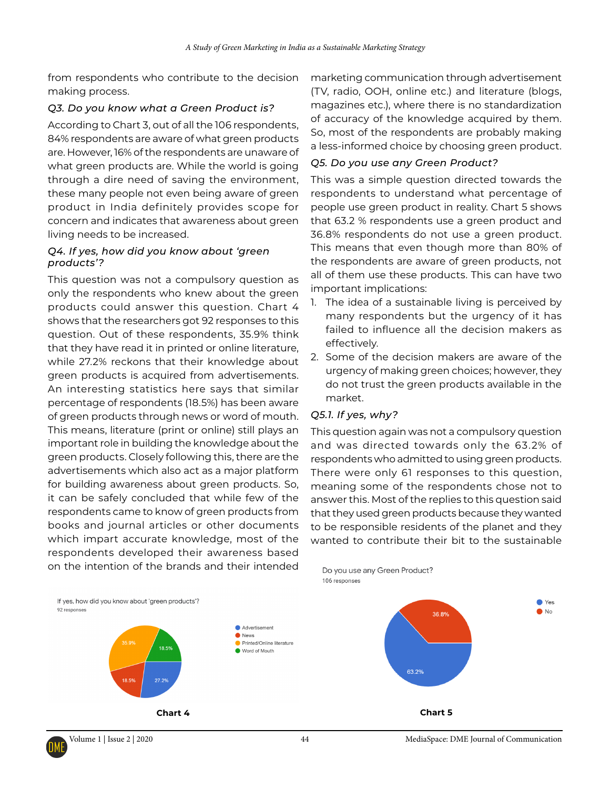from respondents who contribute to the decision making process.

### *Q3. Do you know what a Green Product is?*

According to Chart 3, out of all the 106 respondents, 84% respondents are aware of what green products are. However, 16% of the respondents are unaware of what green products are. While the world is going through a dire need of saving the environment, these many people not even being aware of green product in India definitely provides scope for concern and indicates that awareness about green living needs to be increased.

### *Q4. If yes, how did you know about 'green products'?*

This question was not a compulsory question as only the respondents who knew about the green products could answer this question. Chart 4 shows that the researchers got 92 responses to this question. Out of these respondents, 35.9% think that they have read it in printed or online literature, while 27.2% reckons that their knowledge about green products is acquired from advertisements. An interesting statistics here says that similar percentage of respondents (18.5%) has been aware of green products through news or word of mouth. This means, literature (print or online) still plays an important role in building the knowledge about the green products. Closely following this, there are the advertisements which also act as a major platform for building awareness about green products. So, it can be safely concluded that while few of the respondents came to know of green products from books and journal articles or other documents which impart accurate knowledge, most of the respondents developed their awareness based on the intention of the brands and their intended

marketing communication through advertisement (TV, radio, OOH, online etc.) and literature (blogs, magazines etc.), where there is no standardization of accuracy of the knowledge acquired by them. So, most of the respondents are probably making a less-informed choice by choosing green product.

#### *Q5. Do you use any Green Product?*

This was a simple question directed towards the respondents to understand what percentage of people use green product in reality. Chart 5 shows that 63.2 % respondents use a green product and 36.8% respondents do not use a green product. This means that even though more than 80% of the respondents are aware of green products, not all of them use these products. This can have two important implications:

- 1. The idea of a sustainable living is perceived by many respondents but the urgency of it has failed to influence all the decision makers as effectively.
- 2. Some of the decision makers are aware of the urgency of making green choices; however, they do not trust the green products available in the market.

### *Q5.1. If yes, why?*

Do you use any Green Product?

106 responses

This question again was not a compulsory question and was directed towards only the 63.2% of respondents who admitted to using green products. There were only 61 responses to this question, meaning some of the respondents chose not to answer this. Most of the replies to this question said that they used green products because they wanted to be responsible residents of the planet and they wanted to contribute their bit to the sustainable

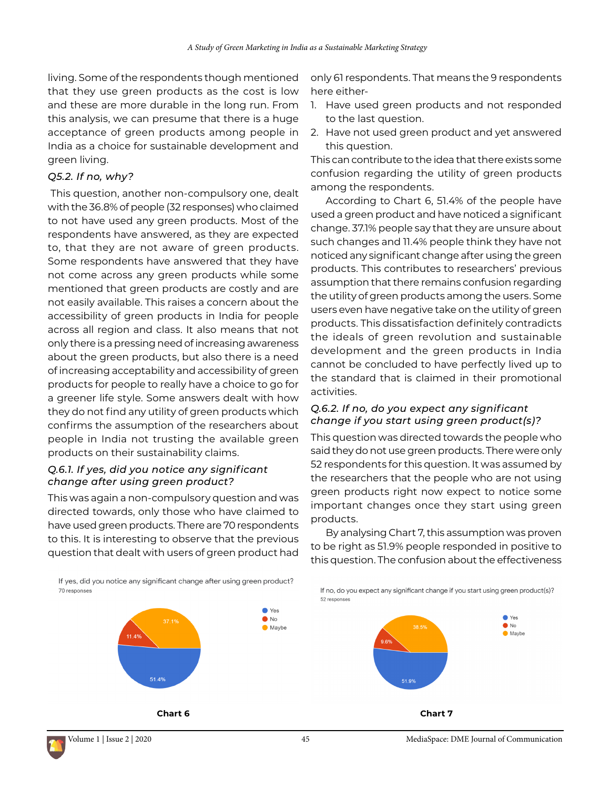living. Some of the respondents though mentioned that they use green products as the cost is low and these are more durable in the long run. From this analysis, we can presume that there is a huge acceptance of green products among people in India as a choice for sustainable development and green living.

#### *Q5.2. If no, why?*

 This question, another non-compulsory one, dealt with the 36.8% of people (32 responses) who claimed to not have used any green products. Most of the respondents have answered, as they are expected to, that they are not aware of green products. Some respondents have answered that they have not come across any green products while some mentioned that green products are costly and are not easily available. This raises a concern about the accessibility of green products in India for people across all region and class. It also means that not only there is a pressing need of increasing awareness about the green products, but also there is a need of increasing acceptability and accessibility of green products for people to really have a choice to go for a greener life style. Some answers dealt with how they do not find any utility of green products which confirms the assumption of the researchers about people in India not trusting the available green products on their sustainability claims.

### *Q.6.1. If yes, did you notice any significant change after using green product?*

This was again a non-compulsory question and was directed towards, only those who have claimed to have used green products. There are 70 respondents to this. It is interesting to observe that the previous question that dealt with users of green product had

only 61 respondents. That means the 9 respondents here either-

- 1. Have used green products and not responded to the last question.
- 2. Have not used green product and yet answered this question.

This can contribute to the idea that there exists some confusion regarding the utility of green products among the respondents.

According to Chart 6, 51.4% of the people have used a green product and have noticed a significant change. 37.1% people say that they are unsure about such changes and 11.4% people think they have not noticed any significant change after using the green products. This contributes to researchers' previous assumption that there remains confusion regarding the utility of green products among the users. Some users even have negative take on the utility of green products. This dissatisfaction definitely contradicts the ideals of green revolution and sustainable development and the green products in India cannot be concluded to have perfectly lived up to the standard that is claimed in their promotional activities.

### *Q.6.2. If no, do you expect any significant change if you start using green product(s)?*

This question was directed towards the people who said they do not use green products. There were only 52 respondents for this question. It was assumed by the researchers that the people who are not using green products right now expect to notice some important changes once they start using green products.

By analysing Chart 7, this assumption was proven to be right as 51.9% people responded in positive to this question. The confusion about the effectiveness

If no, do you expect any significant change if you start using green product(s)?

If yes, did you notice any significant change after using green product? 70 responses







52 respons

 $\bullet$  Yes

 $\bullet$  No

 $\bullet$  Maybe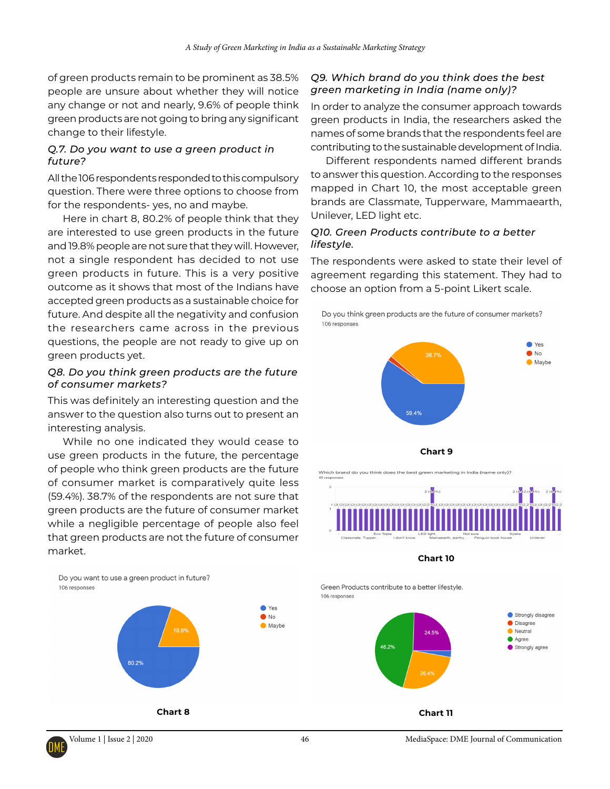of green products remain to be prominent as 38.5% people are unsure about whether they will notice any change or not and nearly, 9.6% of people think green products are not going to bring any significant change to their lifestyle.

### *Q.7. Do you want to use a green product in future?*

All the 106 respondents responded to this compulsory question. There were three options to choose from for the respondents- yes, no and maybe.

Here in chart 8, 80.2% of people think that they are interested to use green products in the future and 19.8% people are not sure that they will. However, not a single respondent has decided to not use green products in future. This is a very positive outcome as it shows that most of the Indians have accepted green products as a sustainable choice for future. And despite all the negativity and confusion the researchers came across in the previous questions, the people are not ready to give up on green products yet.

### *Q8. Do you think green products are the future of consumer markets?*

This was definitely an interesting question and the answer to the question also turns out to present an interesting analysis.

While no one indicated they would cease to use green products in the future, the percentage of people who think green products are the future of consumer market is comparatively quite less (59.4%). 38.7% of the respondents are not sure that green products are the future of consumer market while a negligible percentage of people also feel that green products are not the future of consumer market.

### *Q9. Which brand do you think does the best green marketing in India (name only)?*

In order to analyze the consumer approach towards green products in India, the researchers asked the names of some brands that the respondents feel are contributing to the sustainable development of India.

Different respondents named different brands to answer this question. According to the responses mapped in Chart 10, the most acceptable green brands are Classmate, Tupperware, Mammaearth, Unilever, LED light etc.

### *Q10. Green Products contribute to a better lifestyle.*

The respondents were asked to state their level of agreement regarding this statement. They had to choose an option from a 5-point Likert scale.

Do you think green products are the future of consumer markets? 106 responses



.<br>Which brand do you think does the best green marketing in India (name only)?





Green Products contribute to a better lifestyle. 106 responses



Do you want to use a green product in future? 106 responses



**Chart 8**



● Yes

 $\bullet$ No

 $\bullet$  Maybe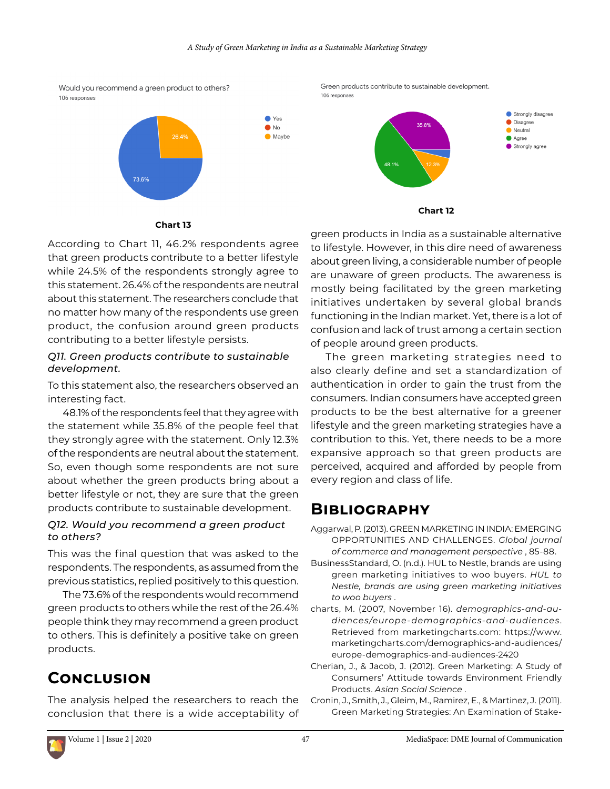● Yes

 $\bullet$ No

 $\bullet$  Maybe



106 responses

Green products contribute to sustainable development. 106 responses



**Chart 13**

According to Chart 11, 46.2% respondents agree that green products contribute to a better lifestyle while 24.5% of the respondents strongly agree to this statement. 26.4% of the respondents are neutral about this statement. The researchers conclude that no matter how many of the respondents use green product, the confusion around green products contributing to a better lifestyle persists.

### *Q11. Green products contribute to sustainable development.*

To this statement also, the researchers observed an interesting fact.

48.1% of the respondents feel that they agree with the statement while 35.8% of the people feel that they strongly agree with the statement. Only 12.3% of the respondents are neutral about the statement. So, even though some respondents are not sure about whether the green products bring about a better lifestyle or not, they are sure that the green products contribute to sustainable development.

### *Q12. Would you recommend a green product to others?*

This was the final question that was asked to the respondents. The respondents, as assumed from the previous statistics, replied positively to this question.

The 73.6% of the respondents would recommend green products to others while the rest of the 26.4% people think they may recommend a green product to others. This is definitely a positive take on green products.

# **Conclusion**

The analysis helped the researchers to reach the conclusion that there is a wide acceptability of

green products in India as a sustainable alternative to lifestyle. However, in this dire need of awareness about green living, a considerable number of people are unaware of green products. The awareness is mostly being facilitated by the green marketing initiatives undertaken by several global brands functioning in the Indian market. Yet, there is a lot of confusion and lack of trust among a certain section of people around green products.

The green marketing strategies need to also clearly define and set a standardization of authentication in order to gain the trust from the consumers. Indian consumers have accepted green products to be the best alternative for a greener lifestyle and the green marketing strategies have a contribution to this. Yet, there needs to be a more expansive approach so that green products are perceived, acquired and afforded by people from every region and class of life.

# **Bibliography**

Aggarwal, P. (2013). GREEN MARKETING IN INDIA: EMERGING OPPORTUNITIES AND CHALLENGES. *Global journal of commerce and management perspective* , 85-88.

BusinessStandard, O. (n.d.). HUL to Nestle, brands are using green marketing initiatives to woo buyers. *HUL to Nestle, brands are using green marketing initiatives to woo buyers* .

charts, M. (2007, November 16). *demographics-and-audiences/europe-demographics-and-audiences*. Retrieved from marketingcharts.com: https://www. marketingcharts.com/demographics-and-audiences/ europe-demographics-and-audiences-2420

Cherian, J., & Jacob, J. (2012). Green Marketing: A Study of Consumers' Attitude towards Environment Friendly Products. *Asian Social Science* .

Cronin, J., Smith, J., Gleim, M., Ramirez, E., & Martinez, J. (2011). Green Marketing Strategies: An Examination of Stake